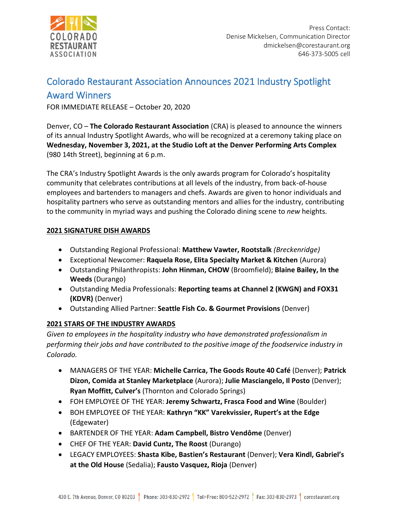

# Colorado Restaurant Association Announces 2021 Industry Spotlight

# Award Winners

FOR IMMEDIATE RELEASE – October 20, 2020

Denver, CO – **The Colorado Restaurant Association** (CRA) is pleased to announce the winners of its annual Industry Spotlight Awards, who will be recognized at a ceremony taking place on **Wednesday, November 3, 2021, at the Studio Loft at the Denver Performing Arts Complex** (980 14th Street), beginning at 6 p.m.

The CRA's Industry Spotlight Awards is the only awards program for Colorado's hospitality community that celebrates contributions at all levels of the industry, from back-of-house employees and bartenders to managers and chefs. Awards are given to honor individuals and hospitality partners who serve as outstanding mentors and allies for the industry, contributing to the community in myriad ways and pushing the Colorado dining scene to *new* heights.

# **2021 SIGNATURE DISH AWARDS**

- Outstanding Regional Professional: **Matthew Vawter, Rootstalk** *(Breckenridge)*
- Exceptional Newcomer: **Raquela Rose, Elita Specialty Market & Kitchen** (Aurora)
- Outstanding Philanthropists: **John Hinman, CHOW** (Broomfield); **Blaine Bailey, In the Weeds** (Durango)
- Outstanding Media Professionals: **Reporting teams at Channel 2 (KWGN) and FOX31 (KDVR)** (Denver)
- Outstanding Allied Partner: **Seattle Fish Co. & Gourmet Provisions** (Denver)

# **2021 STARS OF THE INDUSTRY AWARDS**

*Given to employees in the hospitality industry who have demonstrated professionalism in performing their jobs and have contributed to the positive image of the foodservice industry in Colorado.*

- MANAGERS OF THE YEAR: **Michelle Carrica, The Goods Route 40 Café** (Denver); **Patrick Dizon, Comida at Stanley Marketplace** (Aurora); **Julie Masciangelo, Il Posto** (Denver); **Ryan Moffitt, Culver's** (Thornton and Colorado Springs)
- FOH EMPLOYEE OF THE YEAR: **Jeremy Schwartz, Frasca Food and Wine** (Boulder)
- BOH EMPLOYEE OF THE YEAR: **Kathryn "KK" Varekvissier, Rupert's at the Edge** (Edgewater)
- BARTENDER OF THE YEAR: **Adam Campbell, Bistro Vendôme** (Denver)
- CHEF OF THE YEAR: **David Cuntz, The Roost** (Durango)
- LEGACY EMPLOYEES: **Shasta Kibe, Bastien's Restaurant** (Denver); **Vera Kindl, Gabriel's at the Old House** (Sedalia); **Fausto Vasquez, Rioja** (Denver)